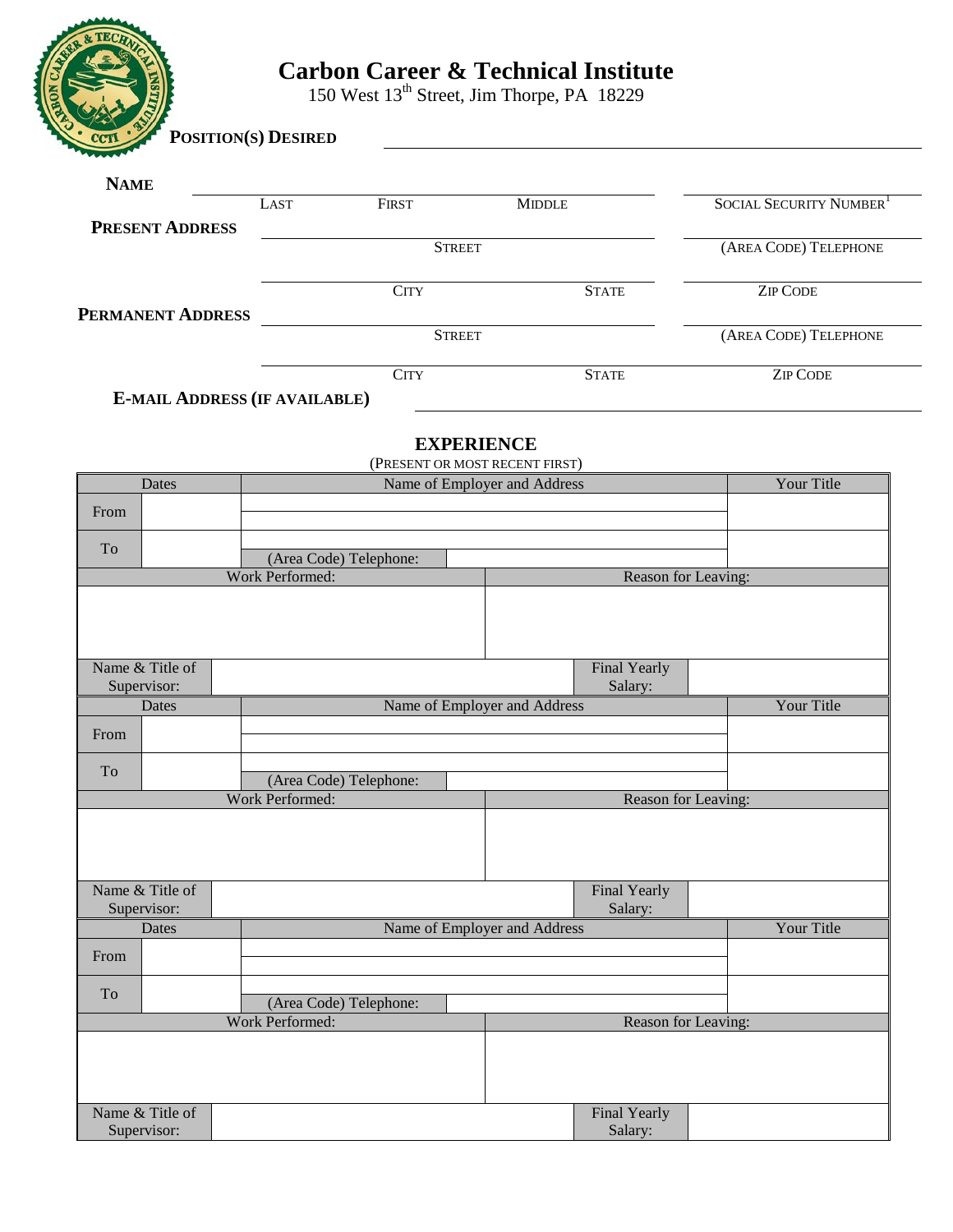

# **Carbon Career & Technical Institute**

150 West 13<sup>th</sup> Street, Jim Thorpe, PA 18229

| $\frac{\cdot}{\cdot}$ CCTI<br><b>POSITION(S) DESIRED</b> |                      |               |                                     |
|----------------------------------------------------------|----------------------|---------------|-------------------------------------|
| <b>NAME</b>                                              |                      |               |                                     |
|                                                          | <b>FIRST</b><br>LAST | <b>MIDDLE</b> | SOCIAL SECURITY NUMBER <sup>1</sup> |
| <b>PRESENT ADDRESS</b>                                   |                      |               |                                     |
|                                                          | <b>STREET</b>        |               | (AREA CODE) TELEPHONE               |
|                                                          |                      |               |                                     |
|                                                          | <b>CITY</b>          | <b>STATE</b>  | <b>ZIP CODE</b>                     |
| <b>PERMANENT ADDRESS</b>                                 |                      |               |                                     |
|                                                          | <b>STREET</b>        |               | (AREA CODE) TELEPHONE               |
|                                                          | <b>CITY</b>          | <b>STATE</b>  | <b>ZIP CODE</b>                     |
|                                                          |                      |               |                                     |

**E-MAIL ADDRESS (IF AVAILABLE)**

# **EXPERIENCE**

| (PRESENT OR MOST RECENT FIRST) |                                                  |                              |                     |            |  |
|--------------------------------|--------------------------------------------------|------------------------------|---------------------|------------|--|
| Dates                          |                                                  | Name of Employer and Address |                     | Your Title |  |
| From                           |                                                  |                              |                     |            |  |
|                                |                                                  |                              |                     |            |  |
| To                             | (Area Code) Telephone:                           |                              |                     |            |  |
|                                | Work Performed:<br>Reason for Leaving:           |                              |                     |            |  |
|                                |                                                  |                              |                     |            |  |
|                                |                                                  |                              |                     |            |  |
|                                |                                                  |                              |                     |            |  |
| Name & Title of                |                                                  |                              | Final Yearly        |            |  |
| Supervisor:                    |                                                  |                              | Salary:             |            |  |
| Dates                          |                                                  | Name of Employer and Address |                     | Your Title |  |
| From                           |                                                  |                              |                     |            |  |
| To                             |                                                  |                              |                     |            |  |
|                                | (Area Code) Telephone:<br><b>Work Performed:</b> |                              | Reason for Leaving: |            |  |
|                                |                                                  |                              |                     |            |  |
|                                |                                                  |                              |                     |            |  |
|                                |                                                  |                              |                     |            |  |
|                                |                                                  |                              |                     |            |  |
| Name & Title of                |                                                  |                              | Final Yearly        |            |  |
| Supervisor:<br>Dates           |                                                  | Name of Employer and Address | Salary:             | Your Title |  |
|                                |                                                  |                              |                     |            |  |
| From                           |                                                  |                              |                     |            |  |
| To                             | (Area Code) Telephone:                           |                              |                     |            |  |
|                                | Work Performed:                                  |                              | Reason for Leaving: |            |  |
|                                |                                                  |                              |                     |            |  |
|                                |                                                  |                              |                     |            |  |
|                                |                                                  |                              |                     |            |  |
| Name & Title of                |                                                  |                              | Final Yearly        |            |  |
| Supervisor:                    |                                                  |                              | Salary:             |            |  |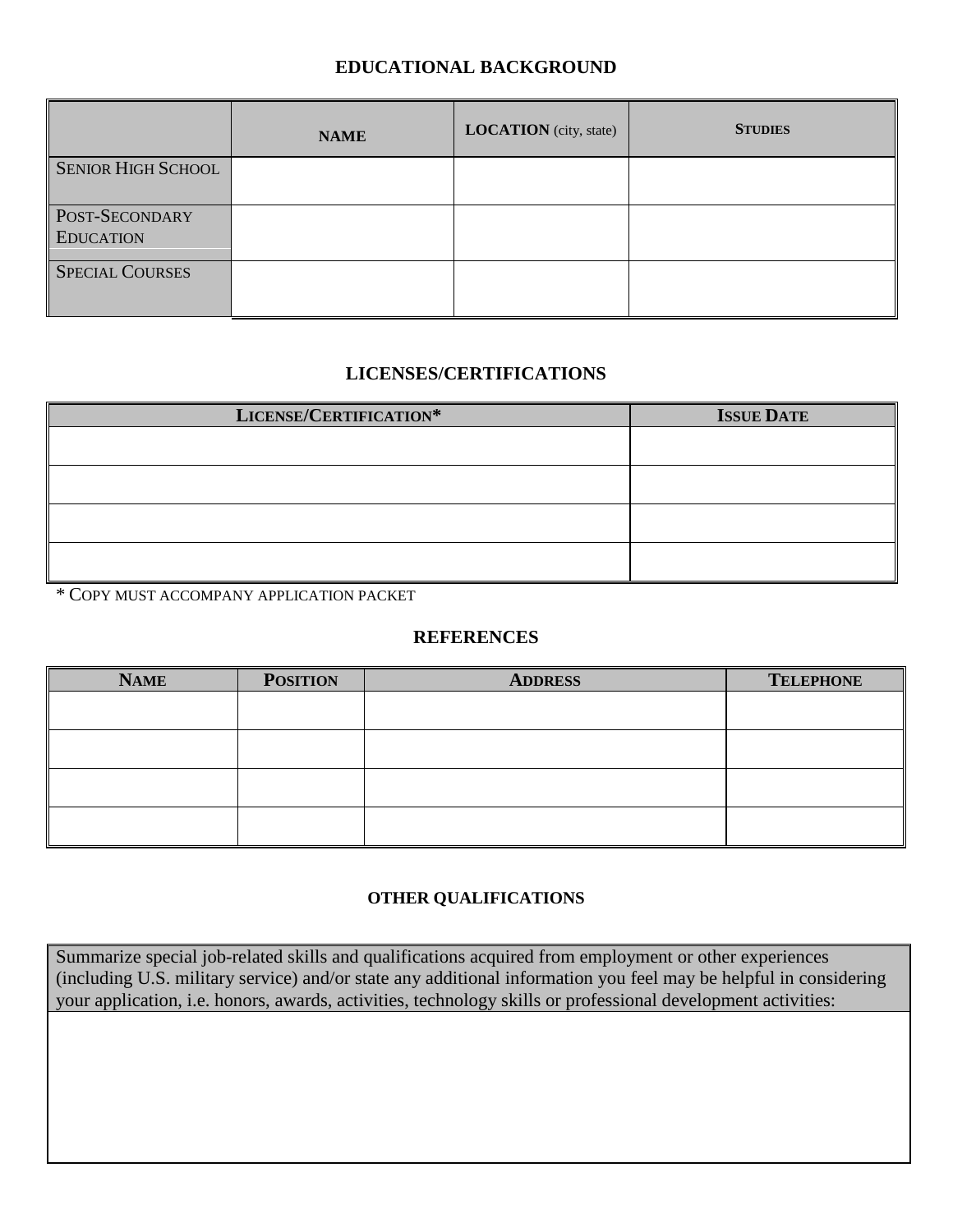# **EDUCATIONAL BACKGROUND**

|                                    | <b>NAME</b> | <b>LOCATION</b> (city, state) | <b>STUDIES</b> |
|------------------------------------|-------------|-------------------------------|----------------|
| <b>SENIOR HIGH SCHOOL</b>          |             |                               |                |
| POST-SECONDARY<br><b>EDUCATION</b> |             |                               |                |
| <b>SPECIAL COURSES</b>             |             |                               |                |

## **LICENSES/CERTIFICATIONS**

| LICENSE/CERTIFICATION* | <b>ISSUE DATE</b> |
|------------------------|-------------------|
|                        |                   |
|                        |                   |
|                        |                   |
|                        |                   |
|                        |                   |
|                        |                   |

\* COPY MUST ACCOMPANY APPLICATION PACKET

## **REFERENCES**

| <b>NAME</b> | <b>POSITION</b> | <b>ADDRESS</b> | <b>TELEPHONE</b> |
|-------------|-----------------|----------------|------------------|
|             |                 |                |                  |
|             |                 |                |                  |
|             |                 |                |                  |
|             |                 |                |                  |

# **OTHER QUALIFICATIONS**

Summarize special job-related skills and qualifications acquired from employment or other experiences (including U.S. military service) and/or state any additional information you feel may be helpful in considering your application, i.e. honors, awards, activities, technology skills or professional development activities: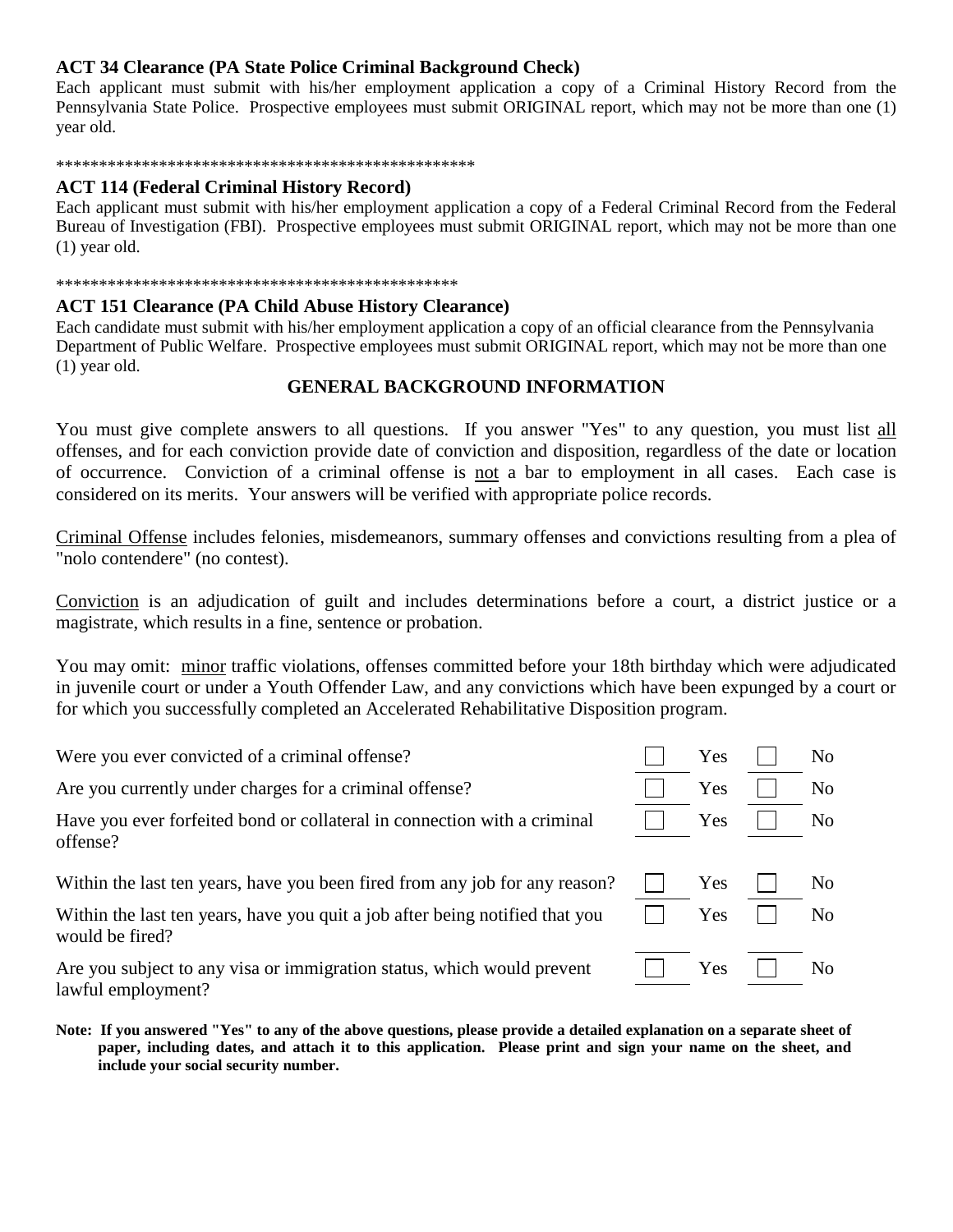## **ACT 34 Clearance (PA State Police Criminal Background Check)**

Each applicant must submit with his/her employment application a copy of a Criminal History Record from the Pennsylvania State Police. Prospective employees must submit ORIGINAL report, which may not be more than one (1) year old.

#### \*\*\*\*\*\*\*\*\*\*\*\*\*\*\*\*\*\*\*\*\*\*\*\*\*\*\*\*\*\*\*\*\*\*\*\*\*\*\*\*\*\*\*\*\*\*\*\*\*

### **ACT 114 (Federal Criminal History Record)**

Each applicant must submit with his/her employment application a copy of a Federal Criminal Record from the Federal Bureau of Investigation (FBI). Prospective employees must submit ORIGINAL report, which may not be more than one (1) year old.

#### \*\*\*\*\*\*\*\*\*\*\*\*\*\*\*\*\*\*\*\*\*\*\*\*\*\*\*\*\*\*\*\*\*\*\*\*\*\*\*\*\*\*\*\*\*\*\*

### **ACT 151 Clearance (PA Child Abuse History Clearance)**

Each candidate must submit with his/her employment application a copy of an official clearance from the Pennsylvania Department of Public Welfare. Prospective employees must submit ORIGINAL report, which may not be more than one (1) year old.

## **GENERAL BACKGROUND INFORMATION**

You must give complete answers to all questions. If you answer "Yes" to any question, you must list all offenses, and for each conviction provide date of conviction and disposition, regardless of the date or location of occurrence. Conviction of a criminal offense is not a bar to employment in all cases. Each case is considered on its merits. Your answers will be verified with appropriate police records.

Criminal Offense includes felonies, misdemeanors, summary offenses and convictions resulting from a plea of "nolo contendere" (no contest).

Conviction is an adjudication of guilt and includes determinations before a court, a district justice or a magistrate, which results in a fine, sentence or probation.

You may omit: minor traffic violations, offenses committed before your 18th birthday which were adjudicated in juvenile court or under a Youth Offender Law, and any convictions which have been expunged by a court or for which you successfully completed an Accelerated Rehabilitative Disposition program.

Were you ever convicted of a criminal offense? Yes No

Are you currently under charges for a criminal offense?  $\Box$  Yes  $\Box$  No

Have you ever forfeited bond or collateral in connection with a criminal offense?

Within the last ten years, have you been fired from any job for any reason?  $\Box$  Yes  $\Box$  No

Within the last ten years, have you quit a job after being notified that you would be fired?

Are you subject to any visa or immigration status, which would prevent lawful employment?

**Note: If you answered "Yes" to any of the above questions, please provide a detailed explanation on a separate sheet of paper, including dates, and attach it to this application. Please print and sign your name on the sheet, and include your social security number.**